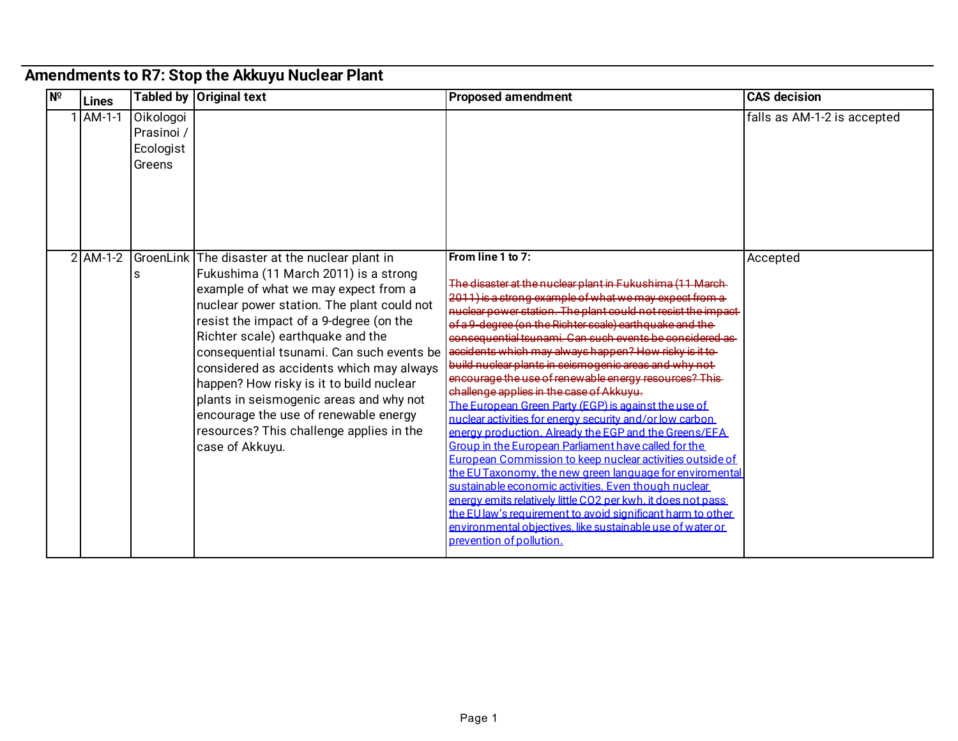## **Amendments to R7: Stop the Akkuyu Nuclear Plant**

| $N^{\circ}$ | Lines      |                                                | Tabled by   Original text                                                                                                                                                                                                                                                                                                                                                                                                                                                                                                                             | <b>Proposed amendment</b>                                                                                                                                                                                                                                                                                                                                                                                                                                                                                                                                                                                                                                                                                                                                                                                                                                                                                                                                                                                                                                                                                                                                                                               | <b>CAS decision</b>         |
|-------------|------------|------------------------------------------------|-------------------------------------------------------------------------------------------------------------------------------------------------------------------------------------------------------------------------------------------------------------------------------------------------------------------------------------------------------------------------------------------------------------------------------------------------------------------------------------------------------------------------------------------------------|---------------------------------------------------------------------------------------------------------------------------------------------------------------------------------------------------------------------------------------------------------------------------------------------------------------------------------------------------------------------------------------------------------------------------------------------------------------------------------------------------------------------------------------------------------------------------------------------------------------------------------------------------------------------------------------------------------------------------------------------------------------------------------------------------------------------------------------------------------------------------------------------------------------------------------------------------------------------------------------------------------------------------------------------------------------------------------------------------------------------------------------------------------------------------------------------------------|-----------------------------|
|             | AM-1-1     | Oikologoi<br>Prasinoi /<br>Ecologist<br>Greens |                                                                                                                                                                                                                                                                                                                                                                                                                                                                                                                                                       |                                                                                                                                                                                                                                                                                                                                                                                                                                                                                                                                                                                                                                                                                                                                                                                                                                                                                                                                                                                                                                                                                                                                                                                                         | falls as AM-1-2 is accepted |
|             | $2$ AM-1-2 | s                                              | GroenLink The disaster at the nuclear plant in<br>Fukushima (11 March 2011) is a strong<br>example of what we may expect from a<br>nuclear power station. The plant could not<br>resist the impact of a 9-degree (on the<br>Richter scale) earthquake and the<br>consequential tsunami. Can such events be<br>considered as accidents which may always<br>happen? How risky is it to build nuclear<br>plants in seismogenic areas and why not<br>encourage the use of renewable energy<br>resources? This challenge applies in the<br>case of Akkuyu. | From line 1 to 7:<br>The disaster at the nuclear plant in Fukushima (11 March-<br>2011) is a strong example of what we may expect from a<br>nuclear power station. The plant could not resist the impact-<br>of a 9-degree (on the Richter scale) earthquake and the<br>consequential tsunami. Can such events be considered as<br>accidents which may always happen? How risky is it to-<br>build nuclear plants in seismogenic areas and why not<br>encourage the use of renewable energy resources? This-<br>challenge applies in the case of Akkuyu.<br>The European Green Party (EGP) is against the use of<br>nuclear activities for energy security and/or low carbon<br>energy production. Already the EGP and the Greens/EFA<br>Group in the European Parliament have called for the<br>European Commission to keep nuclear activities outside of<br>the EU Taxonomy, the new green language for enviromental<br>sustainable economic activities. Even though nuclear<br>energy emits relatively little CO2 per kwh. it does not pass<br>the EU law's requirement to avoid significant harm to other<br>environmental objectives. like sustainable use of water or<br>prevention of pollution. | Accepted                    |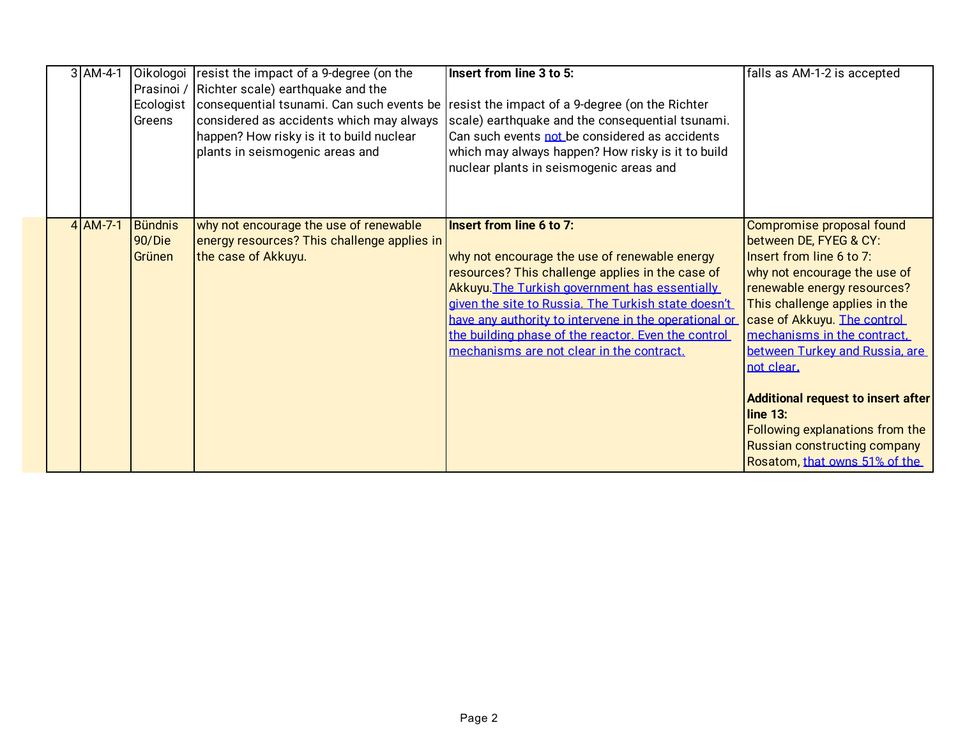|  | $3$ AM-4-1 | Oikologoi<br>Prasinoi /<br>Ecologist<br>Greens | resist the impact of a 9-degree (on the<br>Richter scale) earthquake and the<br>considered as accidents which may always<br>happen? How risky is it to build nuclear<br>plants in seismogenic areas and | Insert from line 3 to 5:<br>consequential tsunami. Can such events be resist the impact of a 9-degree (on the Richter<br>scale) earthquake and the consequential tsunami.<br>Can such events not be considered as accidents<br>which may always happen? How risky is it to build<br>nuclear plants in seismogenic areas and                                                                         | falls as AM-1-2 is accepted                                                                                                                                                                                                                                                                                                                                                                                                                            |
|--|------------|------------------------------------------------|---------------------------------------------------------------------------------------------------------------------------------------------------------------------------------------------------------|-----------------------------------------------------------------------------------------------------------------------------------------------------------------------------------------------------------------------------------------------------------------------------------------------------------------------------------------------------------------------------------------------------|--------------------------------------------------------------------------------------------------------------------------------------------------------------------------------------------------------------------------------------------------------------------------------------------------------------------------------------------------------------------------------------------------------------------------------------------------------|
|  | $4$ AM-7-1 | <b>Bündnis</b><br>90/Die<br>Grünen             | why not encourage the use of renewable<br>energy resources? This challenge applies in<br>the case of Akkuyu.                                                                                            | Insert from line 6 to 7:<br>why not encourage the use of renewable energy<br>resources? This challenge applies in the case of<br>Akkuyu. The Turkish government has essentially<br>given the site to Russia. The Turkish state doesn't<br>have any authority to intervene in the operational or<br>the building phase of the reactor. Even the control<br>mechanisms are not clear in the contract. | Compromise proposal found<br>between DE, FYEG & CY:<br>Insert from line 6 to 7:<br>why not encourage the use of<br>renewable energy resources?<br>This challenge applies in the<br>case of Akkuyu. The control<br>mechanisms in the contract.<br>between Turkey and Russia, are<br>not clear.<br>Additional request to insert after<br>$line 13$ :<br>Following explanations from the<br>Russian constructing company<br>Rosatom, that owns 51% of the |

shares and thereby exercises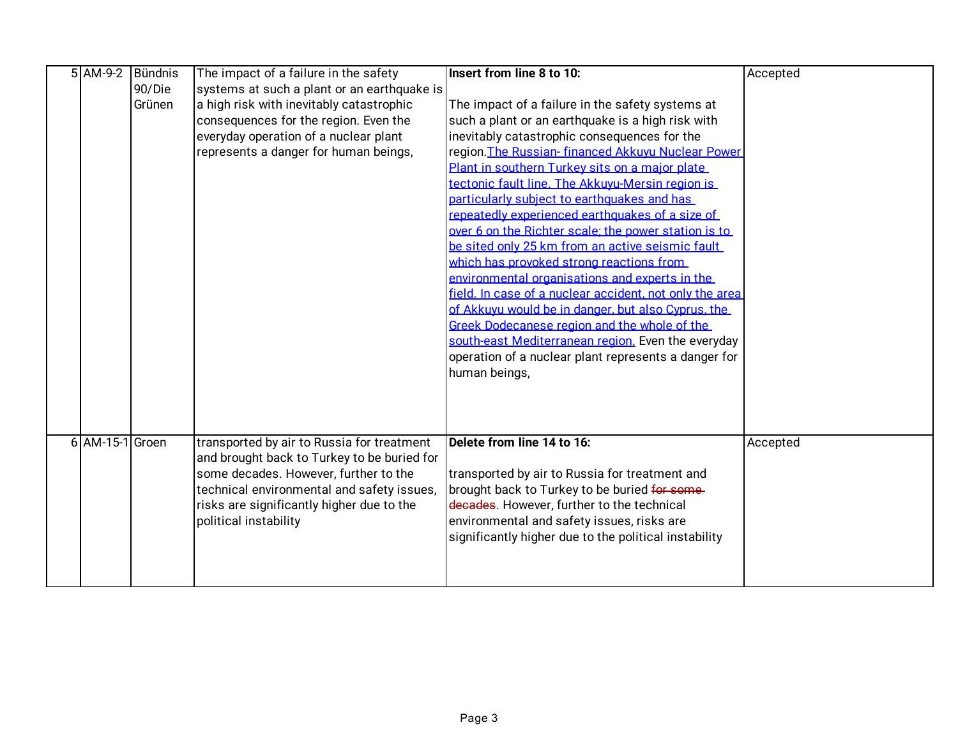| $5$ AM-9-2      | Bündnis | The impact of a failure in the safety       | Insert from line 8 to 10:                               | Accepted |
|-----------------|---------|---------------------------------------------|---------------------------------------------------------|----------|
|                 | 90/Die  | systems at such a plant or an earthquake is |                                                         |          |
|                 | Grünen  | a high risk with inevitably catastrophic    | The impact of a failure in the safety systems at        |          |
|                 |         | consequences for the region. Even the       | such a plant or an earthquake is a high risk with       |          |
|                 |         | everyday operation of a nuclear plant       | inevitably catastrophic consequences for the            |          |
|                 |         | represents a danger for human beings,       | region. The Russian-financed Akkuvu Nuclear Power       |          |
|                 |         |                                             | Plant in southern Turkey sits on a major plate          |          |
|                 |         |                                             | tectonic fault line. The Akkuvu-Mersin region is        |          |
|                 |         |                                             | particularly subject to earthquakes and has             |          |
|                 |         |                                             | repeatedly experienced earthquakes of a size of         |          |
|                 |         |                                             | over 6 on the Richter scale: the power station is to    |          |
|                 |         |                                             | be sited only 25 km from an active seismic fault        |          |
|                 |         |                                             | which has provoked strong reactions from                |          |
|                 |         |                                             | environmental organisations and experts in the          |          |
|                 |         |                                             | field. In case of a nuclear accident, not only the area |          |
|                 |         |                                             | of Akkuvu would be in danger, but also Cyprus, the      |          |
|                 |         |                                             | Greek Dodecanese region and the whole of the            |          |
|                 |         |                                             | south-east Mediterranean region. Even the everyday      |          |
|                 |         |                                             | operation of a nuclear plant represents a danger for    |          |
|                 |         |                                             | human beings,                                           |          |
|                 |         |                                             |                                                         |          |
|                 |         |                                             |                                                         |          |
|                 |         |                                             |                                                         |          |
| 6 AM-15-1 Groen |         | transported by air to Russia for treatment  | Delete from line 14 to 16:                              | Accepted |
|                 |         | and brought back to Turkey to be buried for |                                                         |          |
|                 |         | some decades. However, further to the       | transported by air to Russia for treatment and          |          |
|                 |         | technical environmental and safety issues,  | brought back to Turkey to be buried for some-           |          |
|                 |         | risks are significantly higher due to the   | decades. However, further to the technical              |          |
|                 |         | political instability                       | environmental and safety issues, risks are              |          |
|                 |         |                                             | significantly higher due to the political instability   |          |
|                 |         |                                             |                                                         |          |
|                 |         |                                             |                                                         |          |
|                 |         |                                             |                                                         |          |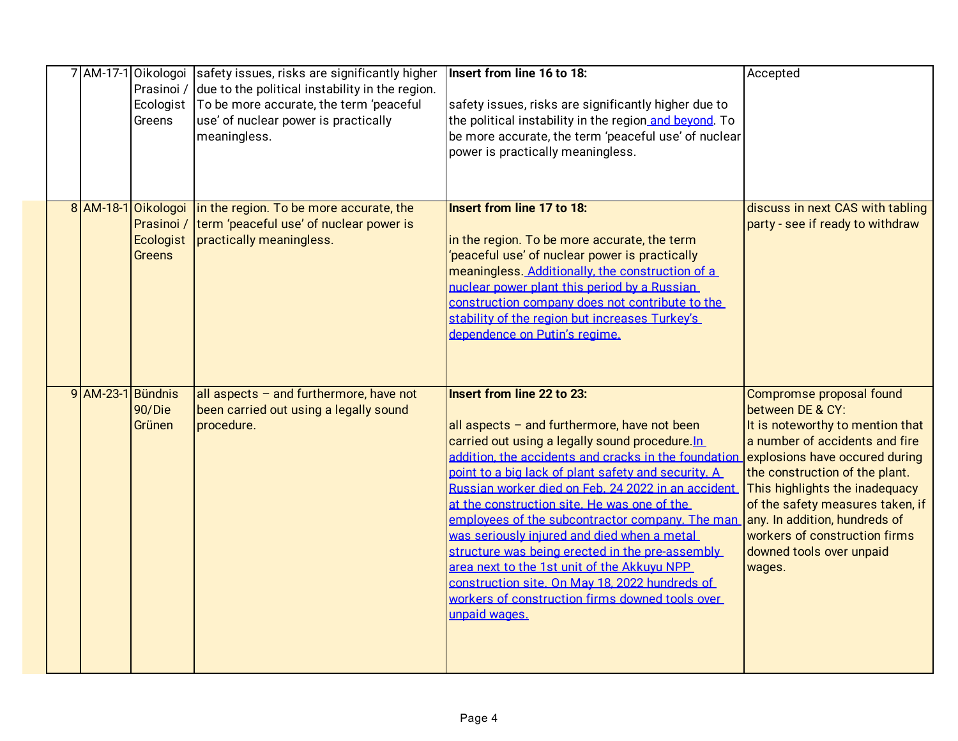|  |                   | Prasinoi /<br>Ecologist  <br>Greens               | 7 AM-17-1 Oikologoi safety issues, risks are significantly higher<br>due to the political instability in the region.<br>To be more accurate, the term 'peaceful<br>use' of nuclear power is practically<br>meaningless. | Insert from line 16 to 18:<br>safety issues, risks are significantly higher due to<br>the political instability in the region and beyond. To<br>be more accurate, the term 'peaceful use' of nuclear<br>power is practically meaningless.                                                                                                                                                                                                                                                                                                                                                                                                                                     | Accepted                                                                                                                                                                                                                                                                                                                                                             |
|--|-------------------|---------------------------------------------------|-------------------------------------------------------------------------------------------------------------------------------------------------------------------------------------------------------------------------|-------------------------------------------------------------------------------------------------------------------------------------------------------------------------------------------------------------------------------------------------------------------------------------------------------------------------------------------------------------------------------------------------------------------------------------------------------------------------------------------------------------------------------------------------------------------------------------------------------------------------------------------------------------------------------|----------------------------------------------------------------------------------------------------------------------------------------------------------------------------------------------------------------------------------------------------------------------------------------------------------------------------------------------------------------------|
|  |                   | 8 AM-18-1 Oikologoi<br>Ecologist<br><b>Greens</b> | in the region. To be more accurate, the<br>Prasinoi / term 'peaceful use' of nuclear power is<br>practically meaningless.                                                                                               | <b>Insert from line 17 to 18:</b><br>in the region. To be more accurate, the term<br>'peaceful use' of nuclear power is practically<br>meaningless. Additionally, the construction of a<br>nuclear power plant this period by a Russian<br>construction company does not contribute to the<br>stability of the region but increases Turkey's<br>dependence on Putin's regime.                                                                                                                                                                                                                                                                                                 | discuss in next CAS with tabling<br>party - see if ready to withdraw                                                                                                                                                                                                                                                                                                 |
|  | 9 AM-23-1 Bündnis | 90/Die<br>Grünen                                  | all aspects $-$ and furthermore, have not<br>been carried out using a legally sound<br>procedure.                                                                                                                       | Insert from line 22 to 23:<br>all aspects $-$ and furthermore, have not been<br>carried out using a legally sound procedure. In<br>addition, the accidents and cracks in the foundation<br>point to a big lack of plant safety and security. A<br>Russian worker died on Feb. 24 2022 in an accident<br>at the construction site. He was one of the<br>employees of the subcontractor company. The man<br>was seriously iniured and died when a metal<br>structure was being erected in the pre-assembly<br>area next to the 1st unit of the Akkuvu NPP<br>construction site. On May 18, 2022 hundreds of<br>workers of construction firms downed tools over<br>unpaid wages. | Compromse proposal found<br>between DE & CY:<br>It is noteworthy to mention that<br>a number of accidents and fire<br>explosions have occured during<br>the construction of the plant.<br>This highlights the inadequacy<br>of the safety measures taken, if<br>any. In addition, hundreds of<br>workers of construction firms<br>downed tools over unpaid<br>wages. |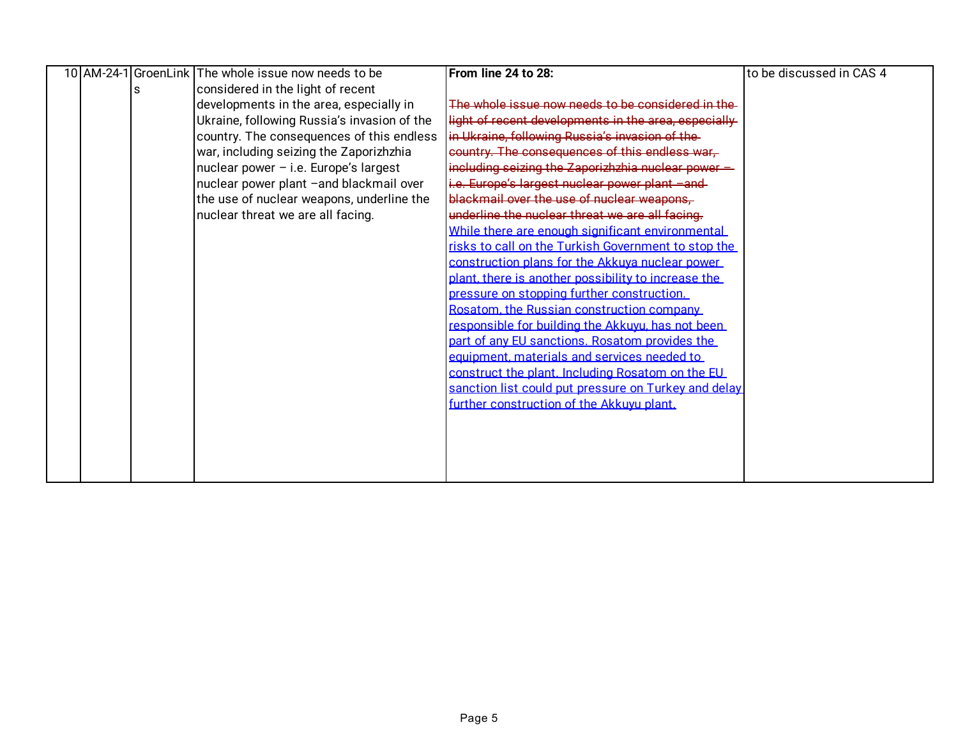|  |   | 10 AM-24-1 GroenLink The whole issue now needs to be | From line 24 to 28:                                  | to be discussed in CAS 4 |
|--|---|------------------------------------------------------|------------------------------------------------------|--------------------------|
|  | s | considered in the light of recent                    |                                                      |                          |
|  |   | developments in the area, especially in              | The whole issue now needs to be considered in the    |                          |
|  |   | Ukraine, following Russia's invasion of the          | light of recent developments in the area, especially |                          |
|  |   | country. The consequences of this endless            | in Ukraine, following Russia's invasion of the-      |                          |
|  |   | war, including seizing the Zaporizhzhia              | country. The consequences of this endless war.       |                          |
|  |   | nuclear power - i.e. Europe's largest                | including seizing the Zaporizhzhia nuclear power -   |                          |
|  |   | nuclear power plant -and blackmail over              | i.e. Europe's largest nuclear power plant -and-      |                          |
|  |   | the use of nuclear weapons, underline the            | blackmail over the use of nuclear weapons,           |                          |
|  |   | nuclear threat we are all facing.                    | underline the nuclear threat we are all facing.      |                          |
|  |   |                                                      | While there are enough significant environmental     |                          |
|  |   |                                                      | risks to call on the Turkish Government to stop the  |                          |
|  |   |                                                      | construction plans for the Akkuva nuclear power      |                          |
|  |   |                                                      | plant, there is another possibility to increase the  |                          |
|  |   |                                                      | pressure on stopping further construction.           |                          |
|  |   |                                                      | Rosatom, the Russian construction company            |                          |
|  |   |                                                      | responsible for building the Akkuyu, has not been    |                          |
|  |   |                                                      | part of any EU sanctions. Rosatom provides the       |                          |
|  |   |                                                      | equipment. materials and services needed to          |                          |
|  |   |                                                      | construct the plant. Including Rosatom on the EU     |                          |
|  |   |                                                      | sanction list could put pressure on Turkey and delay |                          |
|  |   |                                                      | further construction of the Akkuvu plant.            |                          |
|  |   |                                                      |                                                      |                          |
|  |   |                                                      |                                                      |                          |
|  |   |                                                      |                                                      |                          |
|  |   |                                                      |                                                      |                          |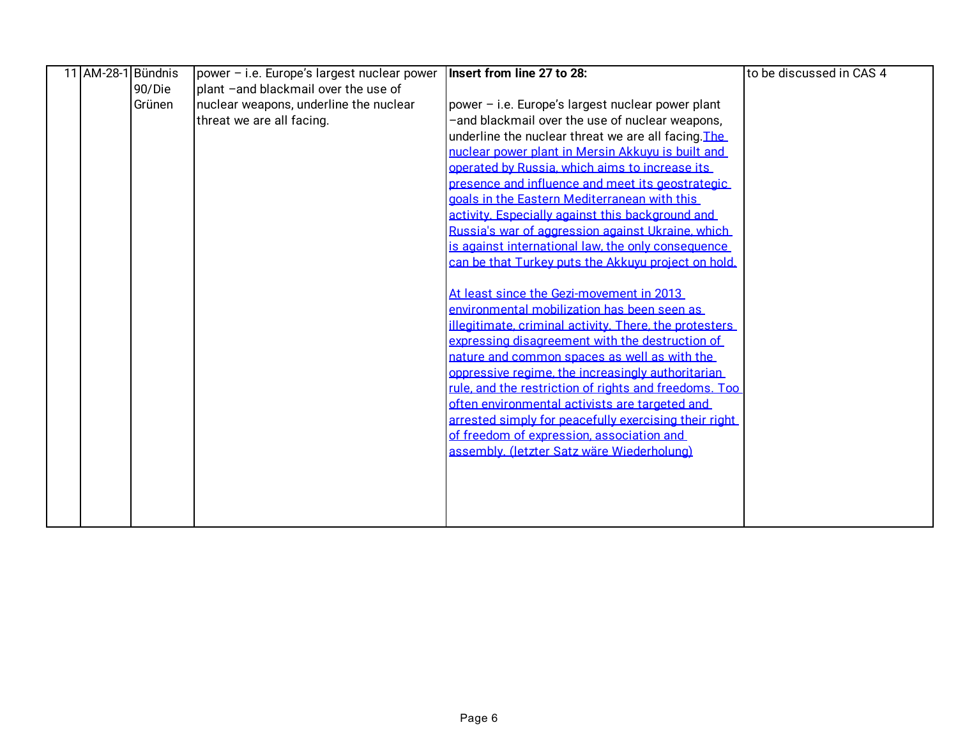|  | 11 AM-28-1 Bündnis | power - i.e. Europe's largest nuclear power | Insert from line 27 to 28:                             | to be discussed in CAS 4 |
|--|--------------------|---------------------------------------------|--------------------------------------------------------|--------------------------|
|  | 90/Die             | plant -and blackmail over the use of        |                                                        |                          |
|  | Grünen             | nuclear weapons, underline the nuclear      | power - i.e. Europe's largest nuclear power plant      |                          |
|  |                    | threat we are all facing.                   | and blackmail over the use of nuclear weapons,         |                          |
|  |                    |                                             | underline the nuclear threat we are all facing. The    |                          |
|  |                    |                                             | nuclear power plant in Mersin Akkuvu is built and      |                          |
|  |                    |                                             | operated by Russia, which aims to increase its         |                          |
|  |                    |                                             | presence and influence and meet its geostrategic       |                          |
|  |                    |                                             | goals in the Eastern Mediterranean with this           |                          |
|  |                    |                                             | activity. Especially against this background and       |                          |
|  |                    |                                             | Russia's war of aggression against Ukraine, which      |                          |
|  |                    |                                             | is against international law, the only consequence     |                          |
|  |                    |                                             | can be that Turkey puts the Akkuvu project on hold.    |                          |
|  |                    |                                             |                                                        |                          |
|  |                    |                                             | At least since the Gezi-movement in 2013               |                          |
|  |                    |                                             | environmental mobilization has been seen as            |                          |
|  |                    |                                             | illegitimate, criminal activity. There, the protesters |                          |
|  |                    |                                             | expressing disagreement with the destruction of        |                          |
|  |                    |                                             | nature and common spaces as well as with the           |                          |
|  |                    |                                             | oppressive regime, the increasingly authoritarian      |                          |
|  |                    |                                             | rule, and the restriction of rights and freedoms. Too  |                          |
|  |                    |                                             | often environmental activists are targeted and         |                          |
|  |                    |                                             | arrested simply for peacefully exercising their right  |                          |
|  |                    |                                             | of freedom of expression, association and              |                          |
|  |                    |                                             | assembly. (letzter Satz wäre Wiederholung)             |                          |
|  |                    |                                             |                                                        |                          |
|  |                    |                                             |                                                        |                          |
|  |                    |                                             |                                                        |                          |
|  |                    |                                             |                                                        |                          |